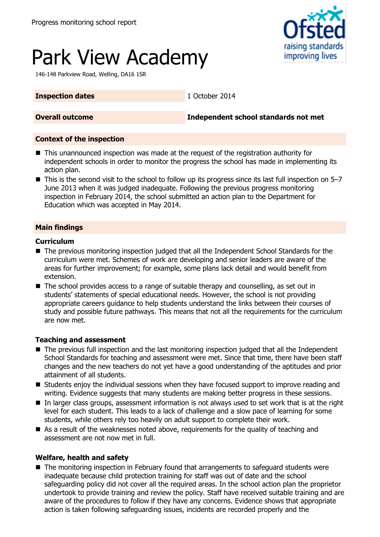

# Park View Academy

146-148 Parkview Road, Welling, DA16 1SR

#### **Inspection dates** 1 October 2014

**Overall outcome Independent school standards not met**

#### **Context of the inspection**

- This unannounced inspection was made at the request of the registration authority for independent schools in order to monitor the progress the school has made in implementing its action plan.
- $\blacksquare$  This is the second visit to the school to follow up its progress since its last full inspection on 5–7 June 2013 when it was judged inadequate. Following the previous progress monitoring inspection in February 2014, the school submitted an action plan to the Department for Education which was accepted in May 2014.

### **Main findings**

#### **Curriculum**

- The previous monitoring inspection judged that all the Independent School Standards for the curriculum were met. Schemes of work are developing and senior leaders are aware of the areas for further improvement; for example, some plans lack detail and would benefit from extension.
- The school provides access to a range of suitable therapy and counselling, as set out in students' statements of special educational needs. However, the school is not providing appropriate careers guidance to help students understand the links between their courses of study and possible future pathways. This means that not all the requirements for the curriculum are now met.

#### **Teaching and assessment**

- The previous full inspection and the last monitoring inspection judged that all the Independent School Standards for teaching and assessment were met. Since that time, there have been staff changes and the new teachers do not yet have a good understanding of the aptitudes and prior attainment of all students.
- **Students enjoy the individual sessions when they have focused support to improve reading and** writing. Evidence suggests that many students are making better progress in these sessions.
- In larger class groups, assessment information is not always used to set work that is at the right level for each student. This leads to a lack of challenge and a slow pace of learning for some students, while others rely too heavily on adult support to complete their work.
- As a result of the weaknesses noted above, requirements for the quality of teaching and assessment are not now met in full.

#### **Welfare, health and safety**

■ The monitoring inspection in February found that arrangements to safeguard students were inadequate because child protection training for staff was out of date and the school safeguarding policy did not cover all the required areas. In the school action plan the proprietor undertook to provide training and review the policy. Staff have received suitable training and are aware of the procedures to follow if they have any concerns. Evidence shows that appropriate action is taken following safeguarding issues, incidents are recorded properly and the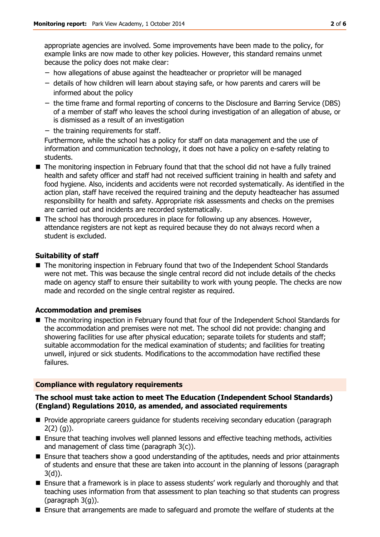appropriate agencies are involved. Some improvements have been made to the policy, for example links are now made to other key policies. However, this standard remains unmet because the policy does not make clear:

- − how allegations of abuse against the headteacher or proprietor will be managed
- − details of how children will learn about staying safe, or how parents and carers will be informed about the policy
- − the time frame and formal reporting of concerns to the Disclosure and Barring Service (DBS) of a member of staff who leaves the school during investigation of an allegation of abuse, or is dismissed as a result of an investigation
- − the training requirements for staff.

Furthermore, while the school has a policy for staff on data management and the use of information and communication technology, it does not have a policy on e-safety relating to students.

- The monitoring inspection in February found that that the school did not have a fully trained health and safety officer and staff had not received sufficient training in health and safety and food hygiene. Also, incidents and accidents were not recorded systematically. As identified in the action plan, staff have received the required training and the deputy headteacher has assumed responsibility for health and safety. Appropriate risk assessments and checks on the premises are carried out and incidents are recorded systematically.
- The school has thorough procedures in place for following up any absences. However, attendance registers are not kept as required because they do not always record when a student is excluded.

#### **Suitability of staff**

■ The monitoring inspection in February found that two of the Independent School Standards were not met. This was because the single central record did not include details of the checks made on agency staff to ensure their suitability to work with young people. The checks are now made and recorded on the single central register as required.

#### **Accommodation and premises**

■ The monitoring inspection in February found that four of the Independent School Standards for the accommodation and premises were not met. The school did not provide: changing and showering facilities for use after physical education; separate toilets for students and staff; suitable accommodation for the medical examination of students; and facilities for treating unwell, injured or sick students. Modifications to the accommodation have rectified these failures.

#### **Compliance with regulatory requirements**

#### **The school must take action to meet The Education (Independent School Standards) (England) Regulations 2010, as amended, and associated requirements**

- **Provide appropriate careers guidance for students receiving secondary education (paragraph**  $2(2)(q)$ ).
- **Ensure that teaching involves well planned lessons and effective teaching methods, activities** and management of class time (paragraph 3(c)).
- **Ensure that teachers show a good understanding of the aptitudes, needs and prior attainments** of students and ensure that these are taken into account in the planning of lessons (paragraph 3(d)).
- **Ensure that a framework is in place to assess students' work regularly and thoroughly and that** teaching uses information from that assessment to plan teaching so that students can progress (paragraph 3(g)).
- Ensure that arrangements are made to safeguard and promote the welfare of students at the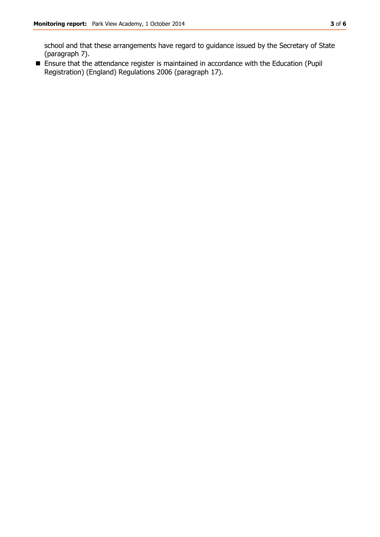school and that these arrangements have regard to guidance issued by the Secretary of State (paragraph 7).

 Ensure that the attendance register is maintained in accordance with the Education (Pupil Registration) (England) Regulations 2006 (paragraph 17).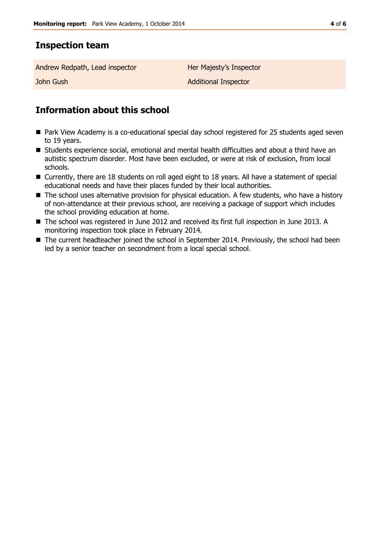## **Inspection team**

Andrew Redpath, Lead inspector **Her Majesty's Inspector** 

**John Gush Additional Inspector** 

# **Information about this school**

- Park View Academy is a co-educational special day school registered for 25 students aged seven to 19 years.
- Students experience social, emotional and mental health difficulties and about a third have an autistic spectrum disorder. Most have been excluded, or were at risk of exclusion, from local schools.
- Currently, there are 18 students on roll aged eight to 18 years. All have a statement of special educational needs and have their places funded by their local authorities.
- The school uses alternative provision for physical education. A few students, who have a history of non-attendance at their previous school, are receiving a package of support which includes the school providing education at home.
- The school was registered in June 2012 and received its first full inspection in June 2013. A monitoring inspection took place in February 2014.
- The current headteacher joined the school in September 2014. Previously, the school had been led by a senior teacher on secondment from a local special school.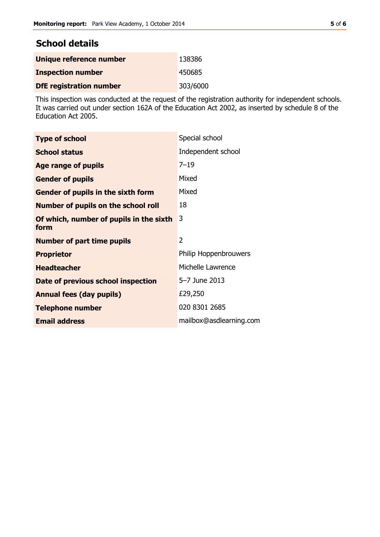# **School details**

| Unique reference number        | 138386   |
|--------------------------------|----------|
| <b>Inspection number</b>       | 450685   |
| <b>DfE</b> registration number | 303/6000 |

This inspection was conducted at the request of the registration authority for independent schools. It was carried out under section 162A of the Education Act 2002, as inserted by schedule 8 of the Education Act 2005.

| <b>Type of school</b>                           | Special school               |
|-------------------------------------------------|------------------------------|
| <b>School status</b>                            | Independent school           |
| Age range of pupils                             | $7 - 19$                     |
| <b>Gender of pupils</b>                         | Mixed                        |
| Gender of pupils in the sixth form              | Mixed                        |
| <b>Number of pupils on the school roll</b>      | 18                           |
| Of which, number of pupils in the sixth<br>form | 3                            |
| <b>Number of part time pupils</b>               | 2                            |
| <b>Proprietor</b>                               | <b>Philip Hoppenbrouwers</b> |
| <b>Headteacher</b>                              | Michelle Lawrence            |
| Date of previous school inspection              | 5–7 June 2013                |
| <b>Annual fees (day pupils)</b>                 | £29,250                      |
| <b>Telephone number</b>                         | 020 8301 2685                |
| <b>Email address</b>                            | mailbox@asdlearning.com      |